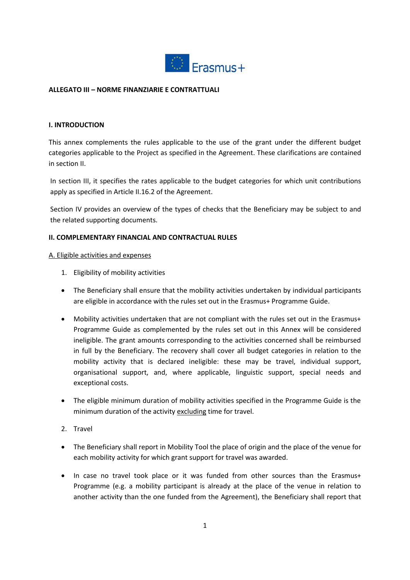

## **ALLEGATO III – NORME FINANZIARIE E CONTRATTUALI**

## **I. INTRODUCTION**

This annex complements the rules applicable to the use of the grant under the different budget categories applicable to the Project as specified in the Agreement. These clarifications are contained in section II.

In section III, it specifies the rates applicable to the budget categories for which unit contributions apply as specified in Article II.16.2 of the Agreement.

Section IV provides an overview of the types of checks that the Beneficiary may be subject to and the related supporting documents.

### **II. COMPLEMENTARY FINANCIAL AND CONTRACTUAL RULES**

#### A. Eligible activities and expenses

- 1. Eligibility of mobility activities
- The Beneficiary shall ensure that the mobility activities undertaken by individual participants are eligible in accordance with the rules set out in the Erasmus+ Programme Guide.
- Mobility activities undertaken that are not compliant with the rules set out in the Erasmus+ Programme Guide as complemented by the rules set out in this Annex will be considered ineligible. The grant amounts corresponding to the activities concerned shall be reimbursed in full by the Beneficiary. The recovery shall cover all budget categories in relation to the mobility activity that is declared ineligible: these may be travel, individual support, organisational support, and, where applicable, linguistic support, special needs and exceptional costs.
- The eligible minimum duration of mobility activities specified in the Programme Guide is the minimum duration of the activity excluding time for travel.
- 2. Travel
- The Beneficiary shall report in Mobility Tool the place of origin and the place of the venue for each mobility activity for which grant support for travel was awarded.
- In case no travel took place or it was funded from other sources than the Erasmus+ Programme (e.g. a mobility participant is already at the place of the venue in relation to another activity than the one funded from the Agreement), the Beneficiary shall report that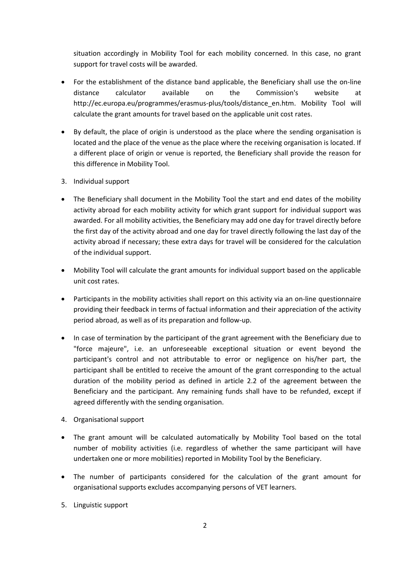situation accordingly in Mobility Tool for each mobility concerned. In this case, no grant support for travel costs will be awarded.

- For the establishment of the distance band applicable, the Beneficiary shall use the on-line distance calculator available on the Commission's website at http://ec.europa.eu/programmes/erasmus-plus/tools/distance\_en.htm. Mobility Tool will calculate the grant amounts for travel based on the applicable unit cost rates.
- By default, the place of origin is understood as the place where the sending organisation is located and the place of the venue as the place where the receiving organisation is located. If a different place of origin or venue is reported, the Beneficiary shall provide the reason for this difference in Mobility Tool.
- 3. Individual support
- The Beneficiary shall document in the Mobility Tool the start and end dates of the mobility activity abroad for each mobility activity for which grant support for individual support was awarded. For all mobility activities, the Beneficiary may add one day for travel directly before the first day of the activity abroad and one day for travel directly following the last day of the activity abroad if necessary; these extra days for travel will be considered for the calculation of the individual support.
- Mobility Tool will calculate the grant amounts for individual support based on the applicable unit cost rates.
- Participants in the mobility activities shall report on this activity via an on-line questionnaire providing their feedback in terms of factual information and their appreciation of the activity period abroad, as well as of its preparation and follow-up.
- In case of termination by the participant of the grant agreement with the Beneficiary due to "force majeure", i.e. an unforeseeable exceptional situation or event beyond the participant's control and not attributable to error or negligence on his/her part, the participant shall be entitled to receive the amount of the grant corresponding to the actual duration of the mobility period as defined in article 2.2 of the agreement between the Beneficiary and the participant. Any remaining funds shall have to be refunded, except if agreed differently with the sending organisation.
- 4. Organisational support
- The grant amount will be calculated automatically by Mobility Tool based on the total number of mobility activities (i.e. regardless of whether the same participant will have undertaken one or more mobilities) reported in Mobility Tool by the Beneficiary.
- The number of participants considered for the calculation of the grant amount for organisational supports excludes accompanying persons of VET learners.
- 5. Linguistic support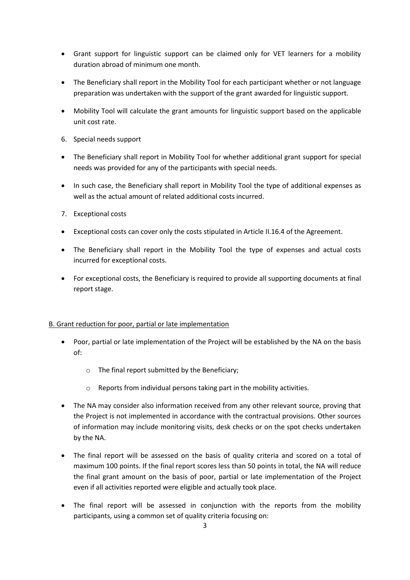- Grant support for linguistic support can be claimed only for VET learners for a mobility duration abroad of minimum one month.
- The Beneficiary shall report in the Mobility Tool for each participant whether or not language preparation was undertaken with the support of the grant awarded for linguistic support.
- Mobility Tool will calculate the grant amounts for linguistic support based on the applicable unit cost rate.
- 6. Special needs support
- The Beneficiary shall report in Mobility Tool for whether additional grant support for special needs was provided for any of the participants with special needs.
- In such case, the Beneficiary shall report in Mobility Tool the type of additional expenses as well as the actual amount of related additional costs incurred.
- 7. Exceptional costs
- Exceptional costs can cover only the costs stipulated in Article II.16.4 of the Agreement.
- The Beneficiary shall report in the Mobility Tool the type of expenses and actual costs incurred for exceptional costs.
- For exceptional costs, the Beneficiary is required to provide all supporting documents at final report stage.

## B. Grant reduction for poor, partial or late implementation

- Poor, partial or late implementation of the Project will be established by the NA on the basis of:
	- o The final report submitted by the Beneficiary;
	- o Reports from individual persons taking part in the mobility activities.
- The NA may consider also information received from any other relevant source, proving that the Project is not implemented in accordance with the contractual provisions. Other sources of information may include monitoring visits, desk checks or on the spot checks undertaken by the NA.
- The final report will be assessed on the basis of quality criteria and scored on a total of maximum 100 points. If the final report scores less than 50 points in total, the NA will reduce the final grant amount on the basis of poor, partial or late implementation of the Project even if all activities reported were eligible and actually took place.
- The final report will be assessed in conjunction with the reports from the mobility participants, using a common set of quality criteria focusing on: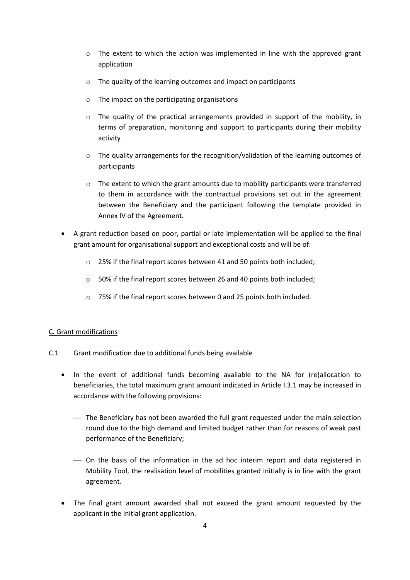- $\circ$  The extent to which the action was implemented in line with the approved grant application
- o The quality of the learning outcomes and impact on participants
- o The impact on the participating organisations
- $\circ$  The quality of the practical arrangements provided in support of the mobility, in terms of preparation, monitoring and support to participants during their mobility activity
- o The quality arrangements for the recognition/validation of the learning outcomes of participants
- $\circ$  The extent to which the grant amounts due to mobility participants were transferred to them in accordance with the contractual provisions set out in the agreement between the Beneficiary and the participant following the template provided in Annex IV of the Agreement.
- A grant reduction based on poor, partial or late implementation will be applied to the final grant amount for organisational support and exceptional costs and will be of:
	- o 25% if the final report scores between 41 and 50 points both included;
	- o 50% if the final report scores between 26 and 40 points both included;
	- o 75% if the final report scores between 0 and 25 points both included.

## C. Grant modifications

- C.1 Grant modification due to additional funds being available
	- In the event of additional funds becoming available to the NA for (re)allocation to beneficiaries, the total maximum grant amount indicated in Article I.3.1 may be increased in accordance with the following provisions:
		- The Beneficiary has not been awarded the full grant requested under the main selection round due to the high demand and limited budget rather than for reasons of weak past performance of the Beneficiary;
		- On the basis of the information in the ad hoc interim report and data registered in Mobility Tool, the realisation level of mobilities granted initially is in line with the grant agreement.
	- The final grant amount awarded shall not exceed the grant amount requested by the applicant in the initial grant application.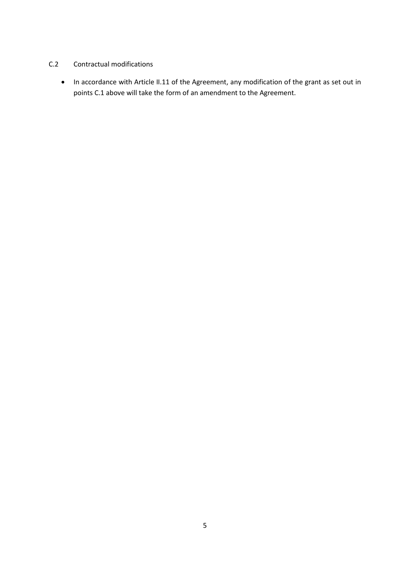## C.2 Contractual modifications

• In accordance with Article II.11 of the Agreement, any modification of the grant as set out in points C.1 above will take the form of an amendment to the Agreement.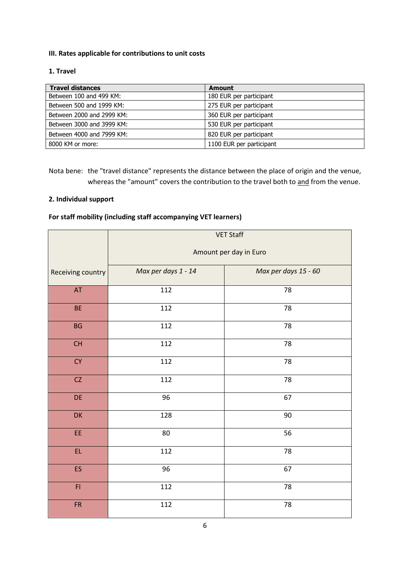# **III. Rates applicable for contributions to unit costs**

## **1. Travel**

| <b>Travel distances</b>   | <b>Amount</b>            |
|---------------------------|--------------------------|
| Between 100 and 499 KM:   | 180 EUR per participant  |
| Between 500 and 1999 KM:  | 275 EUR per participant  |
| Between 2000 and 2999 KM: | 360 EUR per participant  |
| Between 3000 and 3999 KM: | 530 EUR per participant  |
| Between 4000 and 7999 KM: | 820 EUR per participant  |
| 8000 KM or more:          | 1100 EUR per participant |

Nota bene: the "travel distance" represents the distance between the place of origin and the venue, whereas the "amount" covers the contribution to the travel both to and from the venue.

### **2. Individual support**

# **For staff mobility (including staff accompanying VET learners)**

|                                                      | <b>VET Staff</b><br>Amount per day in Euro  |    |  |  |  |
|------------------------------------------------------|---------------------------------------------|----|--|--|--|
| Receiving country                                    | Max per days 1 - 14<br>Max per days 15 - 60 |    |  |  |  |
| $\mathsf{AT}$                                        | 112                                         | 78 |  |  |  |
| <b>BE</b>                                            | 112                                         | 78 |  |  |  |
| BG                                                   | 112                                         | 78 |  |  |  |
| $\mathsf{CH}% _{\mathbb{C}}\left( \mathbb{C}\right)$ | 112                                         | 78 |  |  |  |
| ${\sf CY}$                                           | 112                                         | 78 |  |  |  |
| ${\sf CZ}$                                           | 112                                         | 78 |  |  |  |
| DE                                                   | 96                                          | 67 |  |  |  |
| DK                                                   | 128                                         | 90 |  |  |  |
| EE                                                   | $80\,$                                      | 56 |  |  |  |
| EL.                                                  | 112                                         | 78 |  |  |  |
| ES                                                   | 96                                          | 67 |  |  |  |
| F1                                                   | 112                                         | 78 |  |  |  |
| ${\sf FR}$                                           | 112                                         | 78 |  |  |  |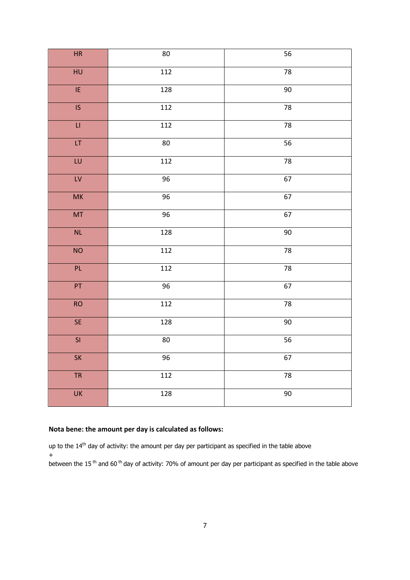| HR                       | 80               | 56 |
|--------------------------|------------------|----|
| $\overline{HU}$          | 112              | 78 |
| $\overline{\mathsf{IE}}$ | 128              | 90 |
| $\overline{\mathsf{IS}}$ | 112              | 78 |
| $\sqcup$                 | 112              | 78 |
| $\overline{\mathsf{LT}}$ | 80               | 56 |
| $\overline{\text{LU}}$   | 112              | 78 |
| $\mathsf{LV}$            | 96               | 67 |
| MK                       | 96               | 67 |
| MT                       | 96               | 67 |
| $\mathsf{NL}$            | 128              | 90 |
| <b>NO</b>                | 112              | 78 |
| PL                       | 112              | 78 |
| PT                       | 96               | 67 |
| <b>RO</b>                | 112              | 78 |
| SE                       | 128              | 90 |
| $\overline{\mathsf{SI}}$ | 80               | 56 |
| SK                       | 96               | 67 |
| <b>TR</b>                | 112              | 78 |
| $\overline{\mathsf{UK}}$ | $\overline{128}$ | 90 |

## **Nota bene: the amount per day is calculated as follows:**

up to the 14<sup>th</sup> day of activity: the amount per day per participant as specified in the table above +

between the 15<sup>th</sup> and 60<sup>th</sup> day of activity: 70% of amount per day per participant as specified in the table above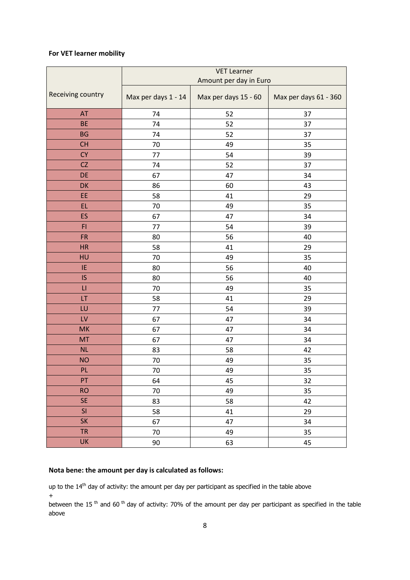# **For VET learner mobility**

|                        | <b>VET Learner</b>     |                      |                       |  |  |
|------------------------|------------------------|----------------------|-----------------------|--|--|
|                        | Amount per day in Euro |                      |                       |  |  |
| Receiving country      | Max per days 1 - 14    | Max per days 15 - 60 | Max per days 61 - 360 |  |  |
| AT                     | 74                     | 52                   | 37                    |  |  |
| <b>BE</b>              | 74                     | 52                   | 37                    |  |  |
| <b>BG</b>              | 74                     | 52                   | 37                    |  |  |
| <b>CH</b>              | 70                     | 49                   | 35                    |  |  |
| <b>CY</b>              | 77                     | 54                   | 39                    |  |  |
| CZ                     | 74                     | 52                   | 37                    |  |  |
| DE                     | 67                     | 47                   | 34                    |  |  |
| DK                     | 86                     | 60                   | 43                    |  |  |
| EE                     | 58<br>41               |                      | 29                    |  |  |
| EL.                    | 70                     | 49                   | 35                    |  |  |
| ES                     | 67                     | 47                   | 34                    |  |  |
| F1                     | 77                     | 54                   | 39                    |  |  |
| <b>FR</b>              | 80                     | 56                   | 40                    |  |  |
| <b>HR</b>              | 58                     | 41                   | 29                    |  |  |
| HU                     | 70                     | 49                   | 35                    |  |  |
| IE                     | 80                     | 56                   | 40                    |  |  |
| IS                     | 80                     | 56                   | 40                    |  |  |
| $\mathsf{L}\mathsf{I}$ | 70                     | 49                   | 35                    |  |  |
| LT                     | 58                     | 41                   | 29                    |  |  |
| LU                     | 77                     | 54                   | 39                    |  |  |
| LV                     | 67                     | 47                   | 34                    |  |  |
| <b>MK</b>              | 67                     | 47                   | 34                    |  |  |
| <b>MT</b>              | 67                     | 47                   | 34                    |  |  |
| NL                     | 83                     | 58                   | 42                    |  |  |
| <b>NO</b>              | 70                     | 49                   | 35                    |  |  |
| PL.                    | 70                     | 49                   | 35                    |  |  |
| PT                     | 64                     | 45                   | 32                    |  |  |
| <b>RO</b>              | $70\,$                 | 49                   | 35                    |  |  |
| <b>SE</b>              | 83                     | 58                   | 42                    |  |  |
| SI                     | 58                     | 41                   | 29                    |  |  |
| <b>SK</b>              | 67                     | 47                   | 34                    |  |  |
| <b>TR</b>              | $70\,$                 | 49                   | 35                    |  |  |
| UK                     | 90                     | 63                   | 45                    |  |  |

## **Nota bene: the amount per day is calculated as follows:**

up to the 14<sup>th</sup> day of activity: the amount per day per participant as specified in the table above +

between the 15<sup>th</sup> and 60<sup>th</sup> day of activity: 70% of the amount per day per participant as specified in the table above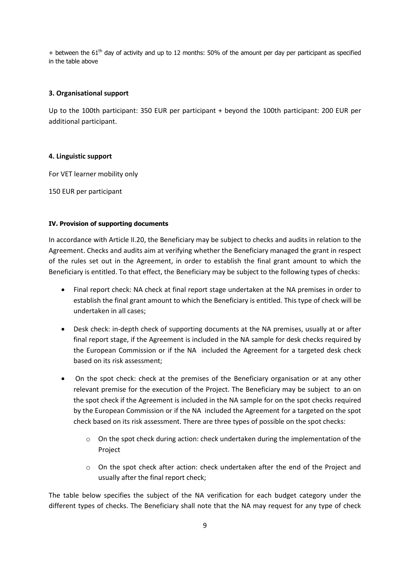$+$  between the 61<sup>th</sup> day of activity and up to 12 months: 50% of the amount per day per participant as specified in the table above

### **3. Organisational support**

Up to the 100th participant: 350 EUR per participant + beyond the 100th participant: 200 EUR per additional participant.

#### **4. Linguistic support**

For VET learner mobility only

150 EUR per participant

### **IV. Provision of supporting documents**

In accordance with Article II.20, the Beneficiary may be subject to checks and audits in relation to the Agreement. Checks and audits aim at verifying whether the Beneficiary managed the grant in respect of the rules set out in the Agreement, in order to establish the final grant amount to which the Beneficiary is entitled. To that effect, the Beneficiary may be subject to the following types of checks:

- Final report check: NA check at final report stage undertaken at the NA premises in order to establish the final grant amount to which the Beneficiary is entitled. This type of check will be undertaken in all cases;
- Desk check: in-depth check of supporting documents at the NA premises, usually at or after final report stage, if the Agreement is included in the NA sample for desk checks required by the European Commission or if the NA included the Agreement for a targeted desk check based on its risk assessment;
- On the spot check: check at the premises of the Beneficiary organisation or at any other relevant premise for the execution of the Project. The Beneficiary may be subject to an on the spot check if the Agreement is included in the NA sample for on the spot checks required by the European Commission or if the NA included the Agreement for a targeted on the spot check based on its risk assessment. There are three types of possible on the spot checks:
	- $\circ$  On the spot check during action: check undertaken during the implementation of the Project
	- $\circ$  On the spot check after action: check undertaken after the end of the Project and usually after the final report check;

The table below specifies the subject of the NA verification for each budget category under the different types of checks. The Beneficiary shall note that the NA may request for any type of check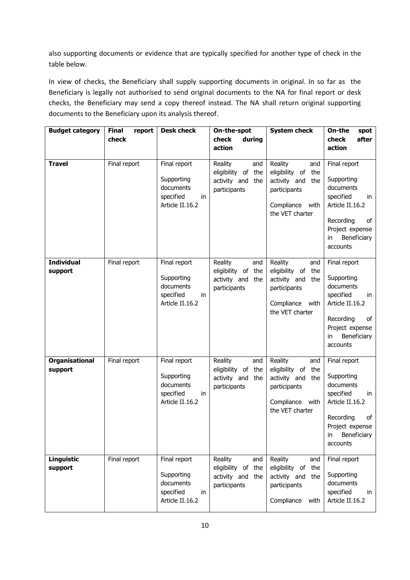also supporting documents or evidence that are typically specified for another type of check in the table below.

In view of checks, the Beneficiary shall supply supporting documents in original. In so far as the Beneficiary is legally not authorised to send original documents to the NA for final report or desk checks, the Beneficiary may send a copy thereof instead. The NA shall return original supporting documents to the Beneficiary upon its analysis thereof.

| <b>Budget category</b>           | <b>Final</b><br>report<br>check | <b>Desk check</b>                                                             | On-the-spot<br>check<br>during                                                 | <b>System check</b>                                                                                                  | On-the<br>spot<br>check<br>after                                                                                                                      |
|----------------------------------|---------------------------------|-------------------------------------------------------------------------------|--------------------------------------------------------------------------------|----------------------------------------------------------------------------------------------------------------------|-------------------------------------------------------------------------------------------------------------------------------------------------------|
|                                  |                                 |                                                                               | action                                                                         |                                                                                                                      | action                                                                                                                                                |
| <b>Travel</b>                    | Final report                    | Final report<br>Supporting<br>documents<br>specified<br>in<br>Article II.16.2 | Reality<br>and<br>eligibility of<br>the<br>activity and the<br>participants    | Reality<br>and<br>eligibility of<br>the<br>activity and<br>the<br>participants<br>Compliance with<br>the VET charter | Final report<br>Supporting<br>documents<br>specified<br>in<br>Article II.16.2<br>Recording<br>of<br>Project expense<br>Beneficiary<br>in<br>accounts  |
| <b>Individual</b><br>support     | Final report                    | Final report<br>Supporting<br>documents<br>specified<br>in<br>Article II.16.2 | Reality<br>and<br>eligibility of<br>the<br>activity and<br>the<br>participants | Reality<br>and<br>eligibility of<br>the<br>activity and<br>the<br>participants<br>Compliance with<br>the VET charter | Final report<br>Supporting<br>documents<br>specified<br>in<br>Article II.16.2<br>Recording<br>of<br>Project expense<br>Beneficiary<br>in.<br>accounts |
| <b>Organisational</b><br>support | Final report                    | Final report<br>Supporting<br>documents<br>specified<br>in<br>Article II.16.2 | Reality<br>and<br>eligibility of the<br>activity and the<br>participants       | Reality<br>and<br>eligibility of<br>the<br>activity and<br>the<br>participants<br>Compliance with<br>the VET charter | Final report<br>Supporting<br>documents<br>specified<br>in<br>Article II.16.2<br>Recording<br>of<br>Project expense<br>in Beneficiary<br>accounts     |
| Linguistic<br>support            | Final report                    | Final report<br>Supporting<br>documents<br>specified<br>in<br>Article II.16.2 | Reality<br>and<br>eligibility of the<br>activity and the<br>participants       | Reality<br>and<br>eligibility of<br>the<br>activity and<br>the<br>participants<br>Compliance<br>with                 | Final report<br>Supporting<br>documents<br>specified<br>in<br>Article II.16.2                                                                         |